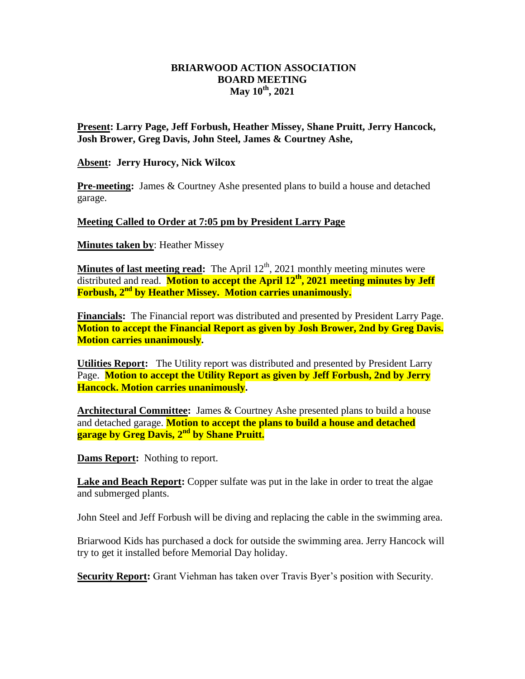## **BRIARWOOD ACTION ASSOCIATION BOARD MEETING May 10th, 2021**

**Present: Larry Page, Jeff Forbush, Heather Missey, Shane Pruitt, Jerry Hancock, Josh Brower, Greg Davis, John Steel, James & Courtney Ashe,** 

## **Absent: Jerry Hurocy, Nick Wilcox**

**Pre-meeting:** James & Courtney Ashe presented plans to build a house and detached garage.

## **Meeting Called to Order at 7:05 pm by President Larry Page**

**Minutes taken by**: Heather Missey

**Minutes of last meeting read:** The April 12<sup>th</sup>, 2021 monthly meeting minutes were distributed and read. **Motion to accept the April 12th, 2021 meeting minutes by Jeff Forbush, 2nd by Heather Missey. Motion carries unanimously.**

**Financials:** The Financial report was distributed and presented by President Larry Page. **Motion to accept the Financial Report as given by Josh Brower, 2nd by Greg Davis. Motion carries unanimously.** 

**Utilities Report:** The Utility report was distributed and presented by President Larry Page. **Motion to accept the Utility Report as given by Jeff Forbush, 2nd by Jerry Hancock. Motion carries unanimously.** 

**Architectural Committee:** James & Courtney Ashe presented plans to build a house and detached garage. **Motion to accept the plans to build a house and detached garage by Greg Davis, 2nd by Shane Pruitt.**

**Dams Report:** Nothing to report.

**Lake and Beach Report:** Copper sulfate was put in the lake in order to treat the algae and submerged plants.

John Steel and Jeff Forbush will be diving and replacing the cable in the swimming area.

Briarwood Kids has purchased a dock for outside the swimming area. Jerry Hancock will try to get it installed before Memorial Day holiday.

**Security Report:** Grant Viehman has taken over Travis Byer's position with Security.